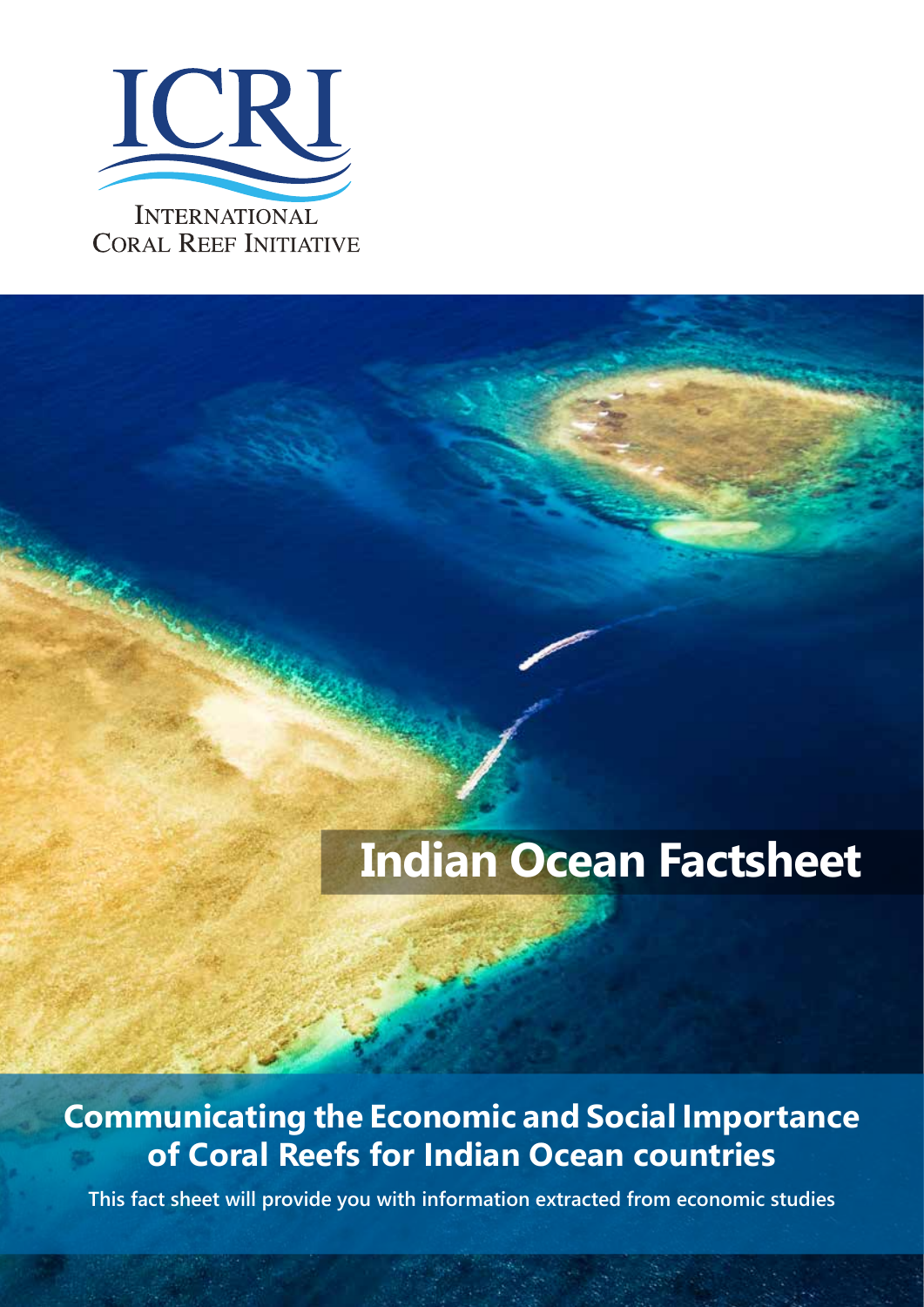

# **Indian Ocean Factsheet**

## **Communicating the Economic and Social Importance of Coral Reefs for Indian Ocean countries**

**This fact sheet will provide you with information extracted from economic studies**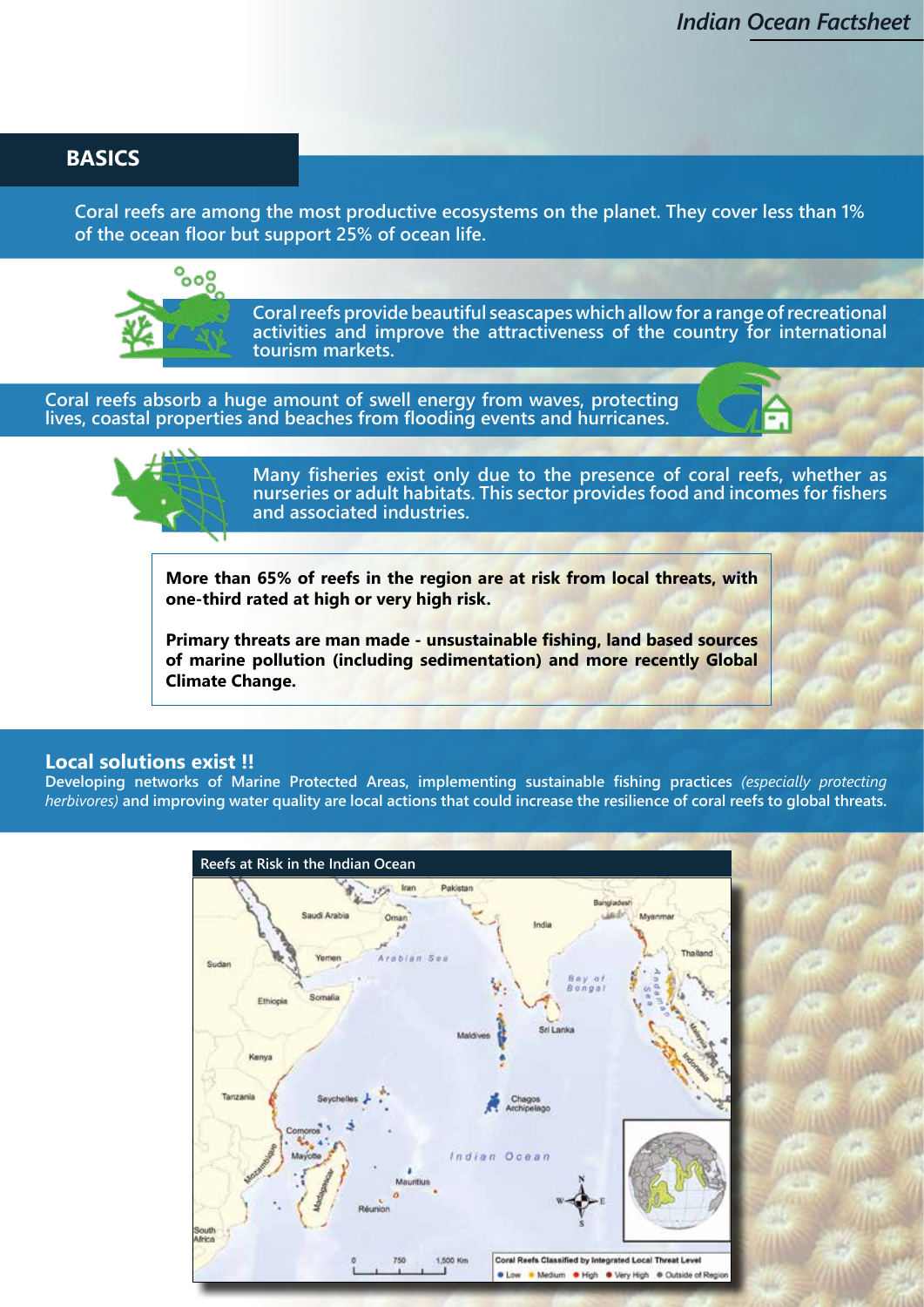#### **BASICS**

**Coral reefs are among the most productive ecosystems on the planet. They cover less than 1% of the ocean floor but support 25% of ocean life.**



**Coral reefs provide beautiful seascapes which allow for a range of recreational activities and improve the attractiveness of the country for international tourism markets.**

**Coral reefs absorb a huge amount of swell energy from waves, protecting lives, coastal properties and beaches from flooding events and hurricanes.**





**Many fisheries exist only due to the presence of coral reefs, whether as nurseries or adult habitats. This sector provides food and incomes for fishers and associated industries.**

**More than 65% of reefs in the region are at risk from local threats, with one-third rated at high or very high risk.**

**Primary threats are man made - unsustainable fishing, land based sources of marine pollution (including sedimentation) and more recently Global Climate Change.**

#### **Local solutions exist !!**

**Developing networks of Marine Protected Areas, implementing sustainable fishing practices** *(especially protecting herbivores)* **and improving water quality are local actions that could increase the resilience of coral reefs to global threats.** 

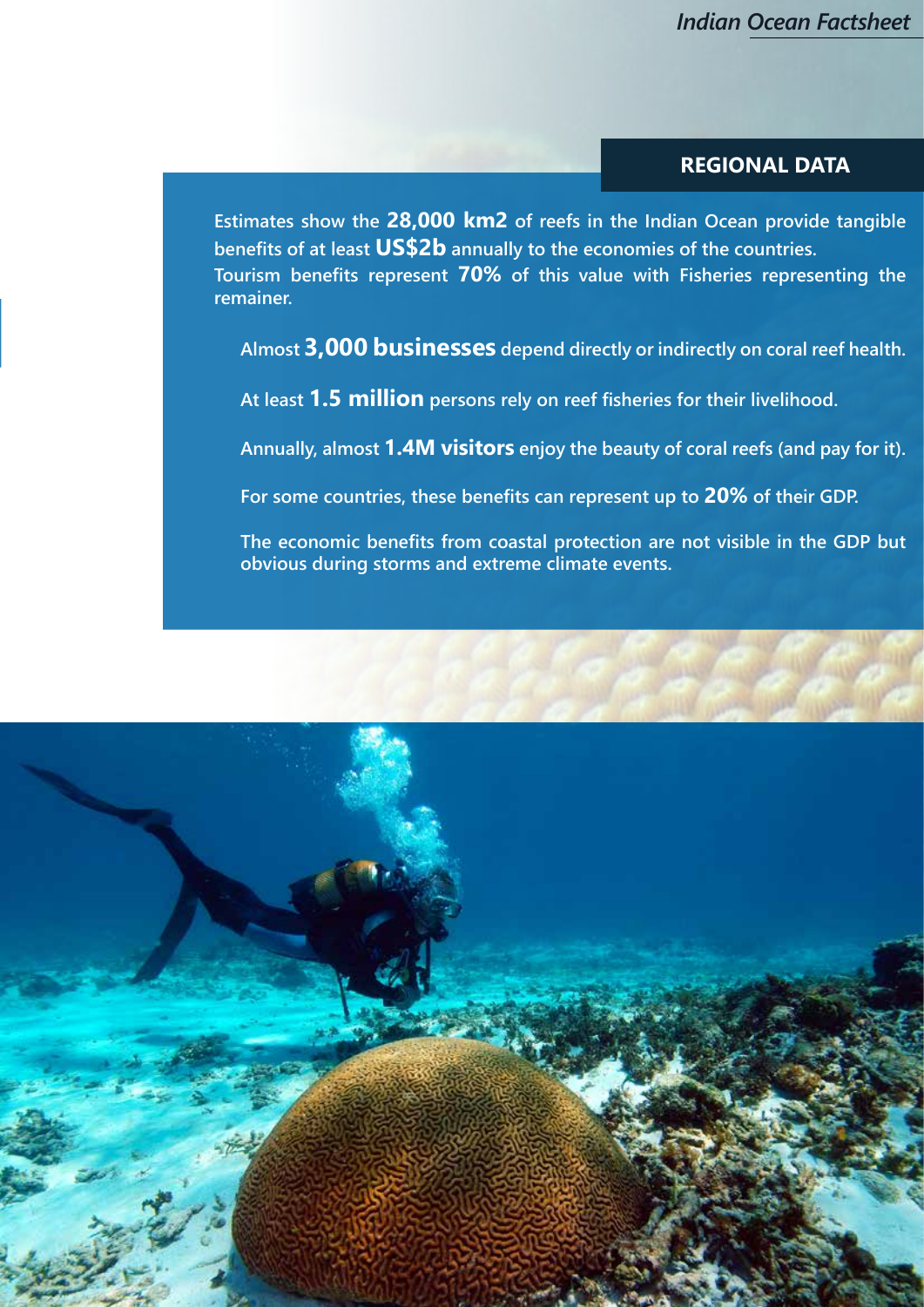#### **REGIONAL DATA**

**Estimates show the 28,000 km2 of reefs in the Indian Ocean provide tangible benefits of at least US\$2b annually to the economies of the countries. Tourism benefits represent 70% of this value with Fisheries representing the remainer.**

**Almost 3,000 businesses depend directly or indirectly on coral reef health.**

**At least 1.5 million persons rely on reef fisheries for their livelihood.**

**Annually, almost 1.4M visitors enjoy the beauty of coral reefs (and pay for it).**

**For some countries, these benefits can represent up to 20% of their GDP.**

**The economic benefits from coastal protection are not visible in the GDP but obvious during storms and extreme climate events.** 

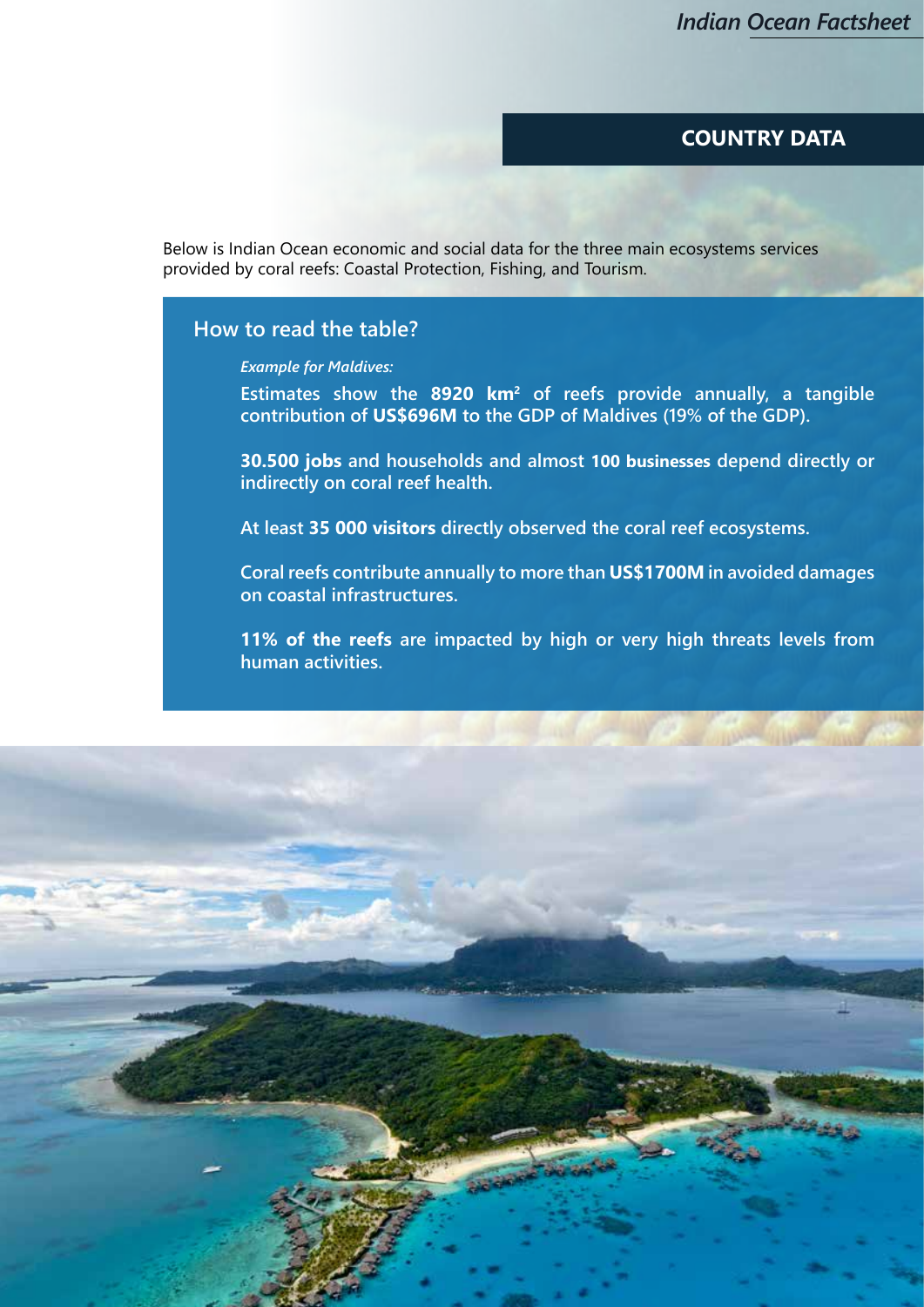#### **COUNTRY DATA**

Below is Indian Ocean economic and social data for the three main ecosystems services provided by coral reefs: Coastal Protection, Fishing, and Tourism.

#### **How to read the table?**

*Example for Maldives:* 

**Estimates show the 8920 km<sup>2</sup> of reefs provide annually, a tangible contribution of US\$696M to the GDP of Maldives (19% of the GDP).**

**30.500 jobs and households and almost 100 businesses depend directly or indirectly on coral reef health.**

**At least 35 000 visitors directly observed the coral reef ecosystems.**

**Coral reefs contribute annually to more than US\$1700M in avoided damages on coastal infrastructures.**

**11% of the reefs are impacted by high or very high threats levels from human activities.**

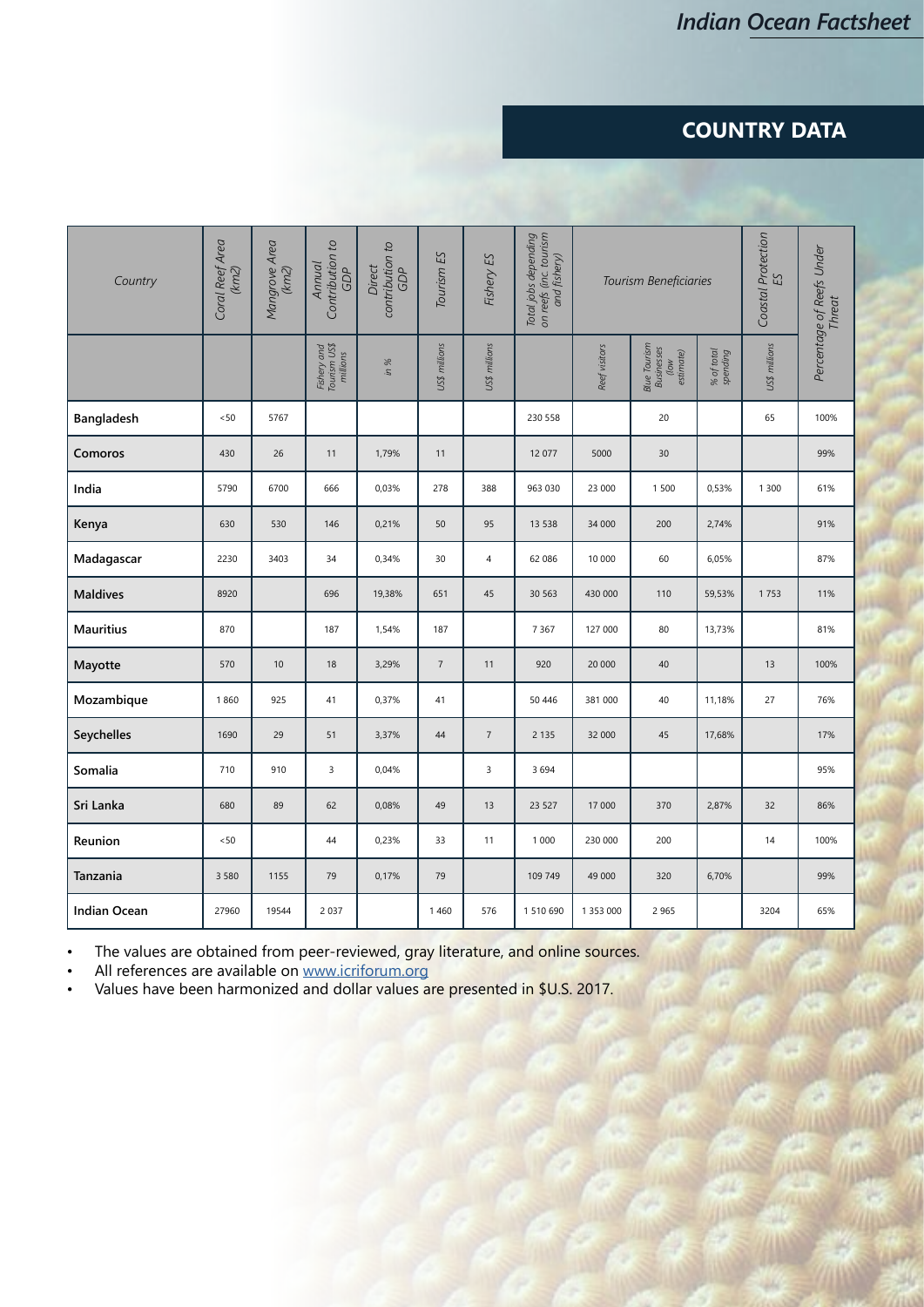### **COUNTRY DATA**

| Country             | Coral Reef Area<br>(km2) | Mangrove Area<br>(km2) | Contribution to<br>Annual<br>GDP        | contribution to<br>GDP<br>Direct | Tourism <sub>ES</sub> | Fishery ES     | Total jobs depending<br>on reefs (inc. tourism<br>and fishery) | Tourism Beneficiaries |                                                 |                        | Coastal Protection<br>ES | Percentage of Reefs Under<br><b>Threat</b> |
|---------------------|--------------------------|------------------------|-----------------------------------------|----------------------------------|-----------------------|----------------|----------------------------------------------------------------|-----------------------|-------------------------------------------------|------------------------|--------------------------|--------------------------------------------|
|                     |                          |                        | Fishery and<br>Tourism US\$<br>millions | in %                             | US\$ millions         | US\$ millions  |                                                                | Reef visitors         | Blue Tourism<br>Businesses<br>estimate)<br>(low | % of total<br>spending | US\$ millions            |                                            |
| Bangladesh          | $<50$                    | 5767                   |                                         |                                  |                       |                | 230 558                                                        |                       | 20                                              |                        | 65                       | 100%                                       |
| Comoros             | 430                      | 26                     | 11                                      | 1,79%                            | 11                    |                | 12 077                                                         | 5000                  | 30                                              |                        |                          | 99%                                        |
| India               | 5790                     | 6700                   | 666                                     | 0,03%                            | 278                   | 388            | 963 030                                                        | 23 000                | 1 500                                           | 0,53%                  | 1 300                    | 61%                                        |
| Kenya               | 630                      | 530                    | 146                                     | 0,21%                            | 50                    | 95             | 13 5 38                                                        | 34 000                | 200                                             | 2,74%                  |                          | 91%                                        |
| Madagascar          | 2230                     | 3403                   | 34                                      | 0,34%                            | 30                    | $\overline{4}$ | 62 086                                                         | 10 000                | 60                                              | 6,05%                  |                          | 87%                                        |
| <b>Maldives</b>     | 8920                     |                        | 696                                     | 19,38%                           | 651                   | 45             | 30 563                                                         | 430 000               | 110                                             | 59,53%                 | 1753                     | 11%                                        |
| <b>Mauritius</b>    | 870                      |                        | 187                                     | 1,54%                            | 187                   |                | 7 3 6 7                                                        | 127 000               | 80                                              | 13,73%                 |                          | 81%                                        |
| Mayotte             | 570                      | 10                     | 18                                      | 3,29%                            | $\overline{7}$        | 11             | 920                                                            | 20 000                | 40                                              |                        | 13                       | 100%                                       |
| Mozambique          | 1860                     | 925                    | 41                                      | 0,37%                            | 41                    |                | 50 446                                                         | 381 000               | 40                                              | 11,18%                 | 27                       | 76%                                        |
| Seychelles          | 1690                     | 29                     | 51                                      | 3,37%                            | 44                    | $\sqrt{7}$     | 2 1 3 5                                                        | 32 000                | 45                                              | 17,68%                 |                          | 17%                                        |
| Somalia             | 710                      | 910                    | 3                                       | 0,04%                            |                       | 3              | 3 6 9 4                                                        |                       |                                                 |                        |                          | 95%                                        |
| Sri Lanka           | 680                      | 89                     | 62                                      | 0,08%                            | 49                    | 13             | 23 5 27                                                        | 17 000                | 370                                             | 2,87%                  | 32                       | 86%                                        |
| Reunion             | < 50                     |                        | 44                                      | 0,23%                            | 33                    | 11             | 1 0 0 0                                                        | 230 000               | 200                                             |                        | 14                       | 100%                                       |
| Tanzania            | 3 5 8 0                  | 1155                   | 79                                      | 0,17%                            | 79                    |                | 109 749                                                        | 49 000                | 320                                             | 6,70%                  |                          | 99%                                        |
| <b>Indian Ocean</b> | 27960                    | 19544                  | 2 0 3 7                                 |                                  | 1460                  | 576            | 1 510 690                                                      | 1 353 000             | 2 9 6 5                                         |                        | 3204                     | 65%                                        |

• The values are obtained from peer-reviewed, gray literature, and online sources.

• All references are available on www.icriforum.org

• Values have been harmonized and dollar values are presented in \$U.S. 2017.